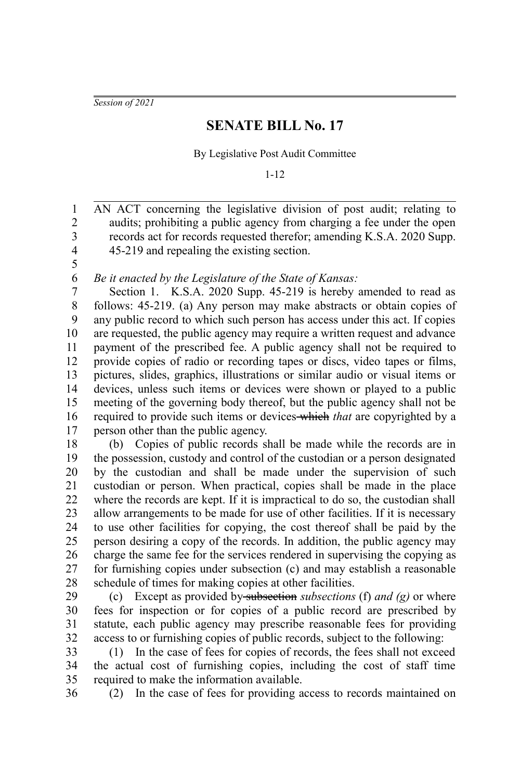*Session of 2021*

## **SENATE BILL No. 17**

By Legislative Post Audit Committee

1-12

AN ACT concerning the legislative division of post audit; relating to audits; prohibiting a public agency from charging a fee under the open records act for records requested therefor; amending K.S.A. 2020 Supp. 45-219 and repealing the existing section. 1 2 3 4

5 6

*Be it enacted by the Legislature of the State of Kansas:*

Section 1. K.S.A. 2020 Supp. 45-219 is hereby amended to read as follows: 45-219. (a) Any person may make abstracts or obtain copies of any public record to which such person has access under this act. If copies are requested, the public agency may require a written request and advance payment of the prescribed fee. A public agency shall not be required to provide copies of radio or recording tapes or discs, video tapes or films, pictures, slides, graphics, illustrations or similar audio or visual items or devices, unless such items or devices were shown or played to a public meeting of the governing body thereof, but the public agency shall not be required to provide such items or devices which *that* are copyrighted by a person other than the public agency. 7 8 9 10 11 12 13 14 15 16 17

(b) Copies of public records shall be made while the records are in the possession, custody and control of the custodian or a person designated by the custodian and shall be made under the supervision of such custodian or person. When practical, copies shall be made in the place where the records are kept. If it is impractical to do so, the custodian shall allow arrangements to be made for use of other facilities. If it is necessary to use other facilities for copying, the cost thereof shall be paid by the person desiring a copy of the records. In addition, the public agency may charge the same fee for the services rendered in supervising the copying as for furnishing copies under subsection (c) and may establish a reasonable schedule of times for making copies at other facilities. 18 19 20 21 22 23 24 25 26 27 28

(c) Except as provided by subsection *subsections* (f) *and (g)* or where fees for inspection or for copies of a public record are prescribed by statute, each public agency may prescribe reasonable fees for providing access to or furnishing copies of public records, subject to the following: 29 30 31 32

(1) In the case of fees for copies of records, the fees shall not exceed the actual cost of furnishing copies, including the cost of staff time required to make the information available. 33 34 35

36

(2) In the case of fees for providing access to records maintained on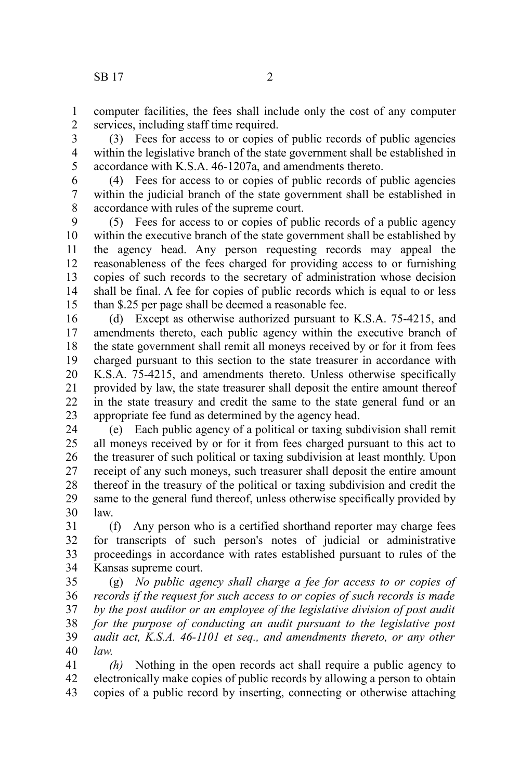computer facilities, the fees shall include only the cost of any computer services, including staff time required. 1 2

(3) Fees for access to or copies of public records of public agencies within the legislative branch of the state government shall be established in accordance with K.S.A. 46-1207a, and amendments thereto. 3 4 5

(4) Fees for access to or copies of public records of public agencies within the judicial branch of the state government shall be established in accordance with rules of the supreme court. 6 7 8

(5) Fees for access to or copies of public records of a public agency within the executive branch of the state government shall be established by the agency head. Any person requesting records may appeal the reasonableness of the fees charged for providing access to or furnishing copies of such records to the secretary of administration whose decision shall be final. A fee for copies of public records which is equal to or less than \$.25 per page shall be deemed a reasonable fee. 9 10 11 12 13 14 15

(d) Except as otherwise authorized pursuant to K.S.A. 75-4215, and amendments thereto, each public agency within the executive branch of the state government shall remit all moneys received by or for it from fees charged pursuant to this section to the state treasurer in accordance with K.S.A. 75-4215, and amendments thereto. Unless otherwise specifically provided by law, the state treasurer shall deposit the entire amount thereof in the state treasury and credit the same to the state general fund or an appropriate fee fund as determined by the agency head. 16 17 18 19 20 21 22 23

(e) Each public agency of a political or taxing subdivision shall remit all moneys received by or for it from fees charged pursuant to this act to the treasurer of such political or taxing subdivision at least monthly. Upon receipt of any such moneys, such treasurer shall deposit the entire amount thereof in the treasury of the political or taxing subdivision and credit the same to the general fund thereof, unless otherwise specifically provided by law. 24 25 26 27 28 29 30

(f) Any person who is a certified shorthand reporter may charge fees for transcripts of such person's notes of judicial or administrative proceedings in accordance with rates established pursuant to rules of the Kansas supreme court. 31 32 33 34

(g) *No public agency shall charge a fee for access to or copies of records if the request for such access to or copies of such records is made by the post auditor or an employee of the legislative division of post audit for the purpose of conducting an audit pursuant to the legislative post audit act, K.S.A. 46-1101 et seq., and amendments thereto, or any other law.* 35 36 37 38 39 40

*(h)* Nothing in the open records act shall require a public agency to electronically make copies of public records by allowing a person to obtain copies of a public record by inserting, connecting or otherwise attaching 41 42 43